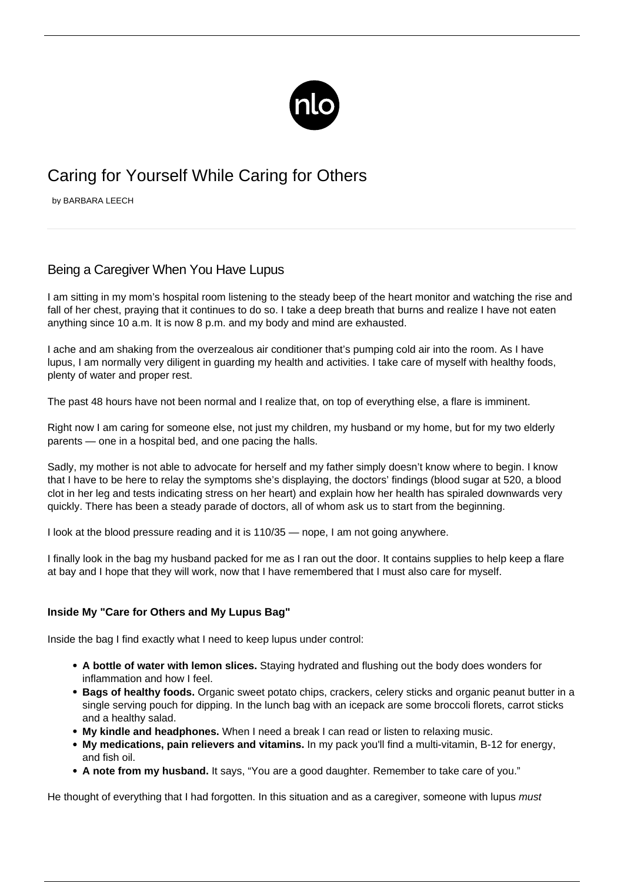

## Caring for Yourself While Caring for Others

by BARBARA LEECH

## Being a Caregiver When You Have Lupus

I am sitting in my mom's hospital room listening to the steady beep of the heart monitor and watching the rise and fall of her chest, praying that it continues to do so. I take a deep breath that burns and realize I have not eaten anything since 10 a.m. It is now 8 p.m. and my body and mind are exhausted.

I ache and am shaking from the overzealous air conditioner that's pumping cold air into the room. As I have lupus, I am normally very diligent in guarding my health and activities. I take care of myself with healthy foods, plenty of water and proper rest.

The past 48 hours have not been normal and I realize that, on top of everything else, a flare is imminent.

Right now I am caring for someone else, not just my children, my husband or my home, but for my two elderly parents — one in a hospital bed, and one pacing the halls.

Sadly, my mother is not able to advocate for herself and my father simply doesn't know where to begin. I know that I have to be here to relay the symptoms she's displaying, the doctors' findings (blood sugar at 520, a blood clot in her leg and tests indicating stress on her heart) and explain how her health has spiraled downwards very quickly. There has been a steady parade of doctors, all of whom ask us to start from the beginning.

I look at the blood pressure reading and it is 110/35 — nope, I am not going anywhere.

I finally look in the bag my husband packed for me as I ran out the door. It contains supplies to help keep a flare at bay and I hope that they will work, now that I have remembered that I must also care for myself.

## **Inside My "Care for Others and My Lupus Bag"**

Inside the bag I find exactly what I need to keep lupus under control:

- **A bottle of water with lemon slices.** Staying hydrated and flushing out the body does wonders for inflammation and how I feel.
- **Bags of [healthy foods](/fueling-energy/).** Organic sweet potato chips, crackers, celery sticks and organic peanut butter in a single serving pouch for dipping. In the lunch bag with an icepack are some broccoli florets, carrot sticks and a healthy salad.
- **My kindle and headphones.** When I need a break I can read or listen to relaxing music.
- **My medications, pain relievers and vitamins.** In my pack you'll find a multi-vitamin, B-12 for energy, and fish oil.
- **A note from my husband.** It says, "You are a good daughter. Remember to take care of you."

He thought of everything that I had forgotten. In this situation and as a caregiver, someone with lupus must